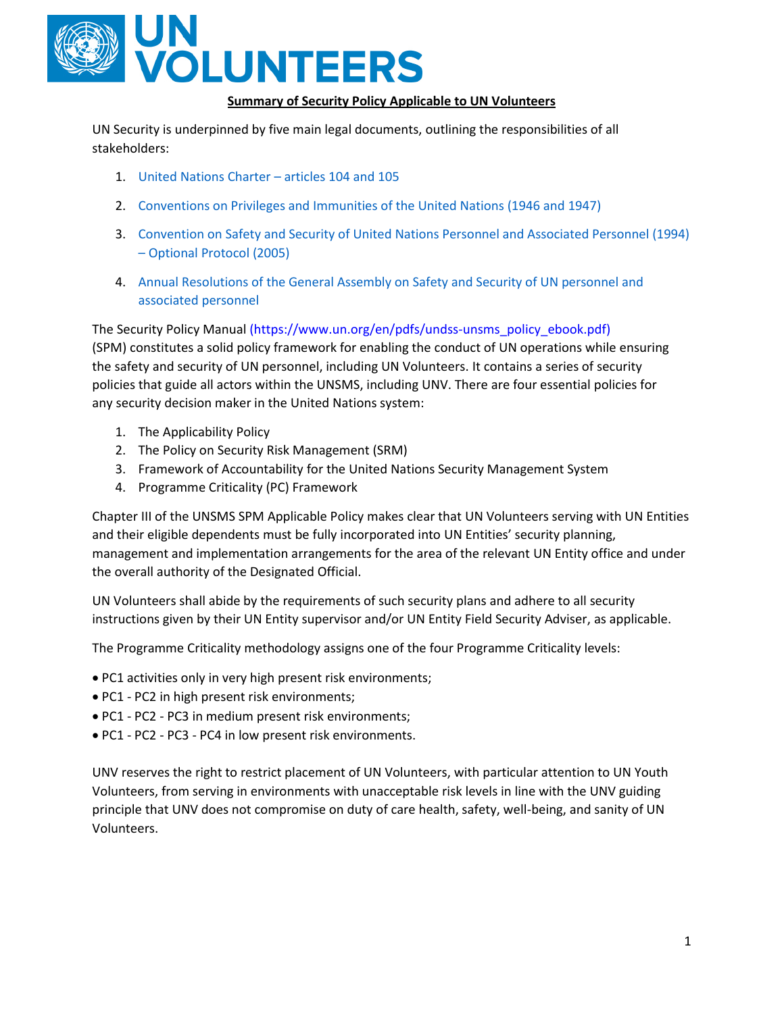

### **Summary of Security Policy Applicable to UN Volunteers**

UN Security is underpinned by five main legal documents, outlining the responsibilities of all stakeholders:

- 1. [United Nations Charter](http://legal.un.org/repertory/art104_105.shtml)  articles 104 and 105
- 2. [Conventions on Privileges and Immunities of the United Nations \(1946 and 1947\)](http://legal.un.org/avl/ha/cpiun-cpisa/cpiun-cpisa.html)
- 3. [Convention on Safety and Security of United Nations Personnel and Associated Personnel \(1994\)](http://legal.un.org/avl/ha/csunap/csunap.html) – [Optional Protocol \(2005\)](http://legal.un.org/avl/ha/csunap/csunap.html)
- 4. [Annual Resolutions of the General Assembly on Safety and Security of UN personnel and](http://www.un.org/en/ga/search/view_doc.asp?symbol=A/RES/71/145) [associated personnel](http://www.un.org/en/ga/search/view_doc.asp?symbol=A/RES/71/145)

The Security Policy Manual (https://www.un.org/en/pdfs/undss-unsms\_policy\_ebook.pdf) (SPM) constitutes a solid policy framework for enabling the conduct of UN operations while [ensuring](https://www.un.org/undss/sites/www.un.org.undss/files/docs/security_policy_manual_spm_e-book_as_of_29_nov_2017_0.pdf)  [the safety and security](https://www.un.org/undss/sites/www.un.org.undss/files/docs/security_policy_manual_spm_e-book_as_of_29_nov_2017_0.pdf) of UN personnel, including UN Volunteers. It contains a series of security policies that guide all actors within the UNSMS, including UNV. There are four essential policies for any security decision maker in the United Nations system:

- 1. The Applicability Policy
- 2. The Policy on Security Risk Management (SRM)
- 3. Framework of Accountability for the United Nations Security Management System
- 4. Programme Criticality (PC) Framework

Chapter III of the UNSMS SPM Applicable Policy makes clear that UN Volunteers serving with UN Entities and their eligible dependents must be fully incorporated into UN Entities' security planning, management and implementation arrangements for the area of the relevant UN Entity office and under the overall authority of the Designated Official.

UN Volunteers shall abide by the requirements of such security plans and adhere to all security instructions given by their UN Entity supervisor and/or UN Entity Field Security Adviser, as applicable.

The Programme Criticality methodology assigns one of the four Programme Criticality levels:

- PC1 activities only in very high present risk environments;
- PC1 PC2 in high present risk environments;
- PC1 PC2 PC3 in medium present risk environments;
- PC1 PC2 PC3 PC4 in low present risk environments.

UNV reserves the right to restrict placement of UN Volunteers, with particular attention to UN Youth Volunteers, from serving in environments with unacceptable risk levels in line with the UNV guiding principle that UNV does not compromise on duty of care health, safety, well-being, and sanity of UN Volunteers.